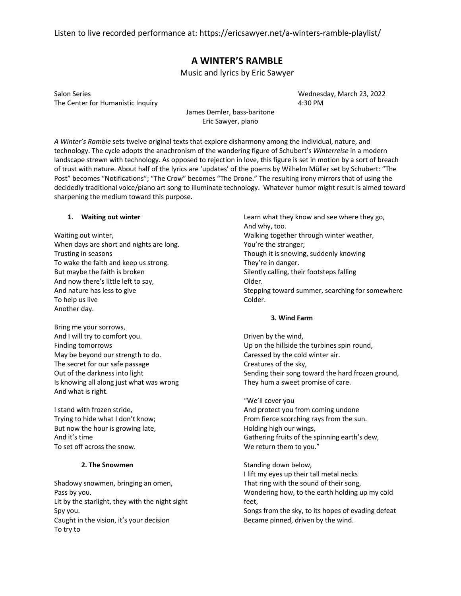Listen to live recorded performance at: https://ericsawyer.net/a-winters-ramble-playlist/

# **A WINTER'S RAMBLE**

Music and lyrics by Eric Sawyer

Salon Series Wednesday, March 23, 2022 The Center for Humanistic Inquiry **Axis and Secure 2018** 4:30 PM

James Demler, bass-baritone Eric Sawyer, piano

*A Winter's Ramble* sets twelve original texts that explore disharmony among the individual, nature, and technology. The cycle adopts the anachronism of the wandering figure of Schubert's *Winterreise* in a modern landscape strewn with technology. As opposed to rejection in love, this figure is set in motion by a sort of breach of trust with nature. About half of the lyrics are 'updates' of the poems by Wilhelm Müller set by Schubert: "The Post" becomes "Notifications"; "The Crow" becomes "The Drone." The resulting irony mirrors that of using the decidedly traditional voice/piano art song to illuminate technology. Whatever humor might result is aimed toward sharpening the medium toward this purpose.

# **1. Waiting out winter**

Waiting out winter, When days are short and nights are long. Trusting in seasons To wake the faith and keep us strong. But maybe the faith is broken And now there's little left to say, And nature has less to give To help us live Another day.

Bring me your sorrows, And I will try to comfort you. Finding tomorrows May be beyond our strength to do. The secret for our safe passage Out of the darkness into light Is knowing all along just what was wrong And what is right.

I stand with frozen stride, Trying to hide what I don't know; But now the hour is growing late, And it's time To set off across the snow.

# **2. The Snowmen**

Shadowy snowmen, bringing an omen, Pass by you. Lit by the starlight, they with the night sight Spy you. Caught in the vision, it's your decision To try to

Learn what they know and see where they go, And why, too. Walking together through winter weather, You're the stranger; Though it is snowing, suddenly knowing They're in danger. Silently calling, their footsteps falling Older. Stepping toward summer, searching for somewhere Colder.

# **3. Wind Farm**

Driven by the wind, Up on the hillside the turbines spin round, Caressed by the cold winter air. Creatures of the sky, Sending their song toward the hard frozen ground, They hum a sweet promise of care.

"We'll cover you And protect you from coming undone From fierce scorching rays from the sun. Holding high our wings, Gathering fruits of the spinning earth's dew, We return them to you."

Standing down below, I lift my eyes up their tall metal necks That ring with the sound of their song, Wondering how, to the earth holding up my cold feet, Songs from the sky, to its hopes of evading defeat Became pinned, driven by the wind.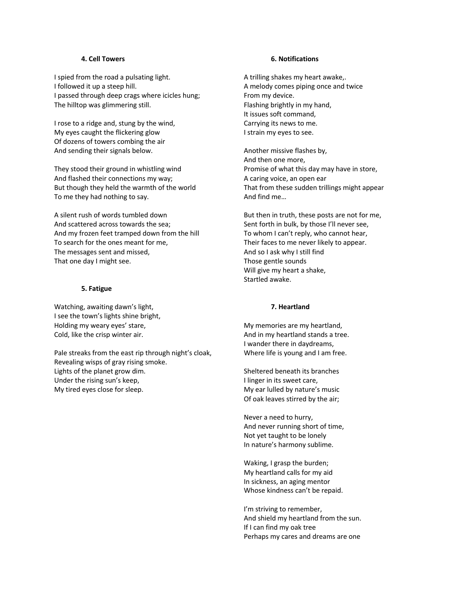# **4. Cell Towers**

I spied from the road a pulsating light. I followed it up a steep hill. I passed through deep crags where icicles hung; The hilltop was glimmering still.

I rose to a ridge and, stung by the wind, My eyes caught the flickering glow Of dozens of towers combing the air And sending their signals below.

They stood their ground in whistling wind And flashed their connections my way; But though they held the warmth of the world To me they had nothing to say.

A silent rush of words tumbled down And scattered across towards the sea; And my frozen feet tramped down from the hill To search for the ones meant for me, The messages sent and missed, That one day I might see.

## **5. Fatigue**

Watching, awaiting dawn's light, I see the town's lights shine bright, Holding my weary eyes' stare, Cold, like the crisp winter air.

Pale streaks from the east rip through night's cloak, Revealing wisps of gray rising smoke. Lights of the planet grow dim. Under the rising sun's keep, My tired eyes close for sleep.

#### **6. Notifications**

A trilling shakes my heart awake,. A melody comes piping once and twice From my device. Flashing brightly in my hand, It issues soft command, Carrying its news to me. I strain my eyes to see.

Another missive flashes by, And then one more, Promise of what this day may have in store, A caring voice, an open ear That from these sudden trillings might appear And find me…

But then in truth, these posts are not for me, Sent forth in bulk, by those I'll never see, To whom I can't reply, who cannot hear, Their faces to me never likely to appear. And so I ask why I still find Those gentle sounds Will give my heart a shake, Startled awake.

# **7. Heartland**

My memories are my heartland, And in my heartland stands a tree. I wander there in daydreams, Where life is young and I am free.

Sheltered beneath its branches I linger in its sweet care, My ear lulled by nature's music Of oak leaves stirred by the air;

Never a need to hurry, And never running short of time, Not yet taught to be lonely In nature's harmony sublime.

Waking, I grasp the burden; My heartland calls for my aid In sickness, an aging mentor Whose kindness can't be repaid.

I'm striving to remember, And shield my heartland from the sun. If I can find my oak tree Perhaps my cares and dreams are one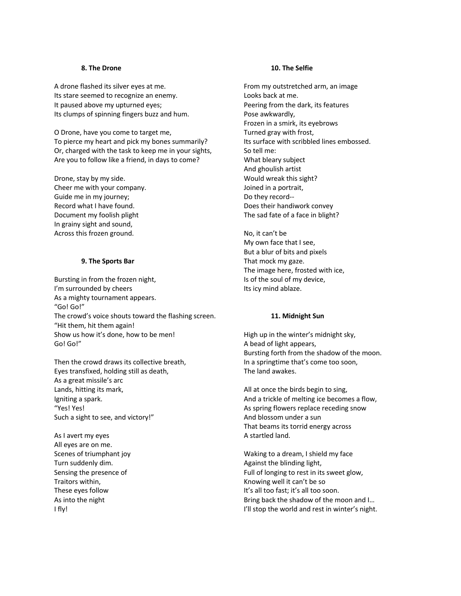### **8. The Drone**

A drone flashed its silver eyes at me. Its stare seemed to recognize an enemy. It paused above my upturned eyes; Its clumps of spinning fingers buzz and hum.

O Drone, have you come to target me, To pierce my heart and pick my bones summarily? Or, charged with the task to keep me in your sights, Are you to follow like a friend, in days to come?

Drone, stay by my side. Cheer me with your company. Guide me in my journey; Record what I have found. Document my foolish plight In grainy sight and sound, Across this frozen ground.

# **9. The Sports Bar**

Bursting in from the frozen night, I'm surrounded by cheers As a mighty tournament appears. "Go! Go!" The crowd's voice shouts toward the flashing screen. "Hit them, hit them again! Show us how it's done, how to be men! Go! Go!"

Then the crowd draws its collective breath, Eyes transfixed, holding still as death, As a great missile's arc Lands, hitting its mark, Igniting a spark. "Yes! Yes! Such a sight to see, and victory!"

As I avert my eyes All eyes are on me. Scenes of triumphant joy Turn suddenly dim. Sensing the presence of Traitors within, These eyes follow As into the night I fly!

# **10. The Selfie**

From my outstretched arm, an image Looks back at me. Peering from the dark, its features Pose awkwardly, Frozen in a smirk, its eyebrows Turned gray with frost, Its surface with scribbled lines embossed. So tell me: What bleary subject And ghoulish artist Would wreak this sight? Joined in a portrait, Do they record-- Does their handiwork convey The sad fate of a face in blight?

No, it can't be My own face that I see, But a blur of bits and pixels That mock my gaze. The image here, frosted with ice, Is of the soul of my device, Its icy mind ablaze.

#### **11. Midnight Sun**

High up in the winter's midnight sky, A bead of light appears, Bursting forth from the shadow of the moon. In a springtime that's come too soon, The land awakes.

All at once the birds begin to sing, And a trickle of melting ice becomes a flow, As spring flowers replace receding snow And blossom under a sun That beams its torrid energy across A startled land.

Waking to a dream, I shield my face Against the blinding light, Full of longing to rest in its sweet glow, Knowing well it can't be so It's all too fast; it's all too soon. Bring back the shadow of the moon and I… I'll stop the world and rest in winter's night.